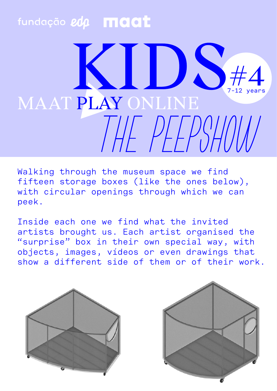## fundação edp **maat**

## $#4$ 7-12 years MAAT PLAY ONLINE HE PEPSHOU

Walking through the museum space we find fifteen storage boxes (like the ones below), with circular openings through which we can peek.

Inside each one we find what the invited artists brought us. Each artist organised the "surprise" box in their own special way, with objects, images, vídeos or even drawings that show a different side of them or of their work.



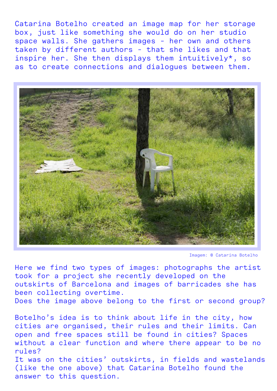Catarina Botelho created an image map for her storage box, just like something she would do on her studio space walls. She gathers images - her own and others taken by different authors - that she likes and that inspire her. She then displays them intuitively\*, so as to create connections and dialogues between them.



Imagem: © Catarina Botelho

Here we find two types of images: photographs the artist took for a project she recently developed on the outskirts of Barcelona and images of barricades she has been collecting overtime.

Does the image above belong to the first or second group?

Botelho's idea is to think about life in the city, how cities are organised, their rules and their limits. Can open and free spaces still be found in cities? Spaces without a clear function and where there appear to be no rules? It was on the cities' outskirts, in fields and wastelands (like the one above) that Catarina Botelho found the answer to this question.